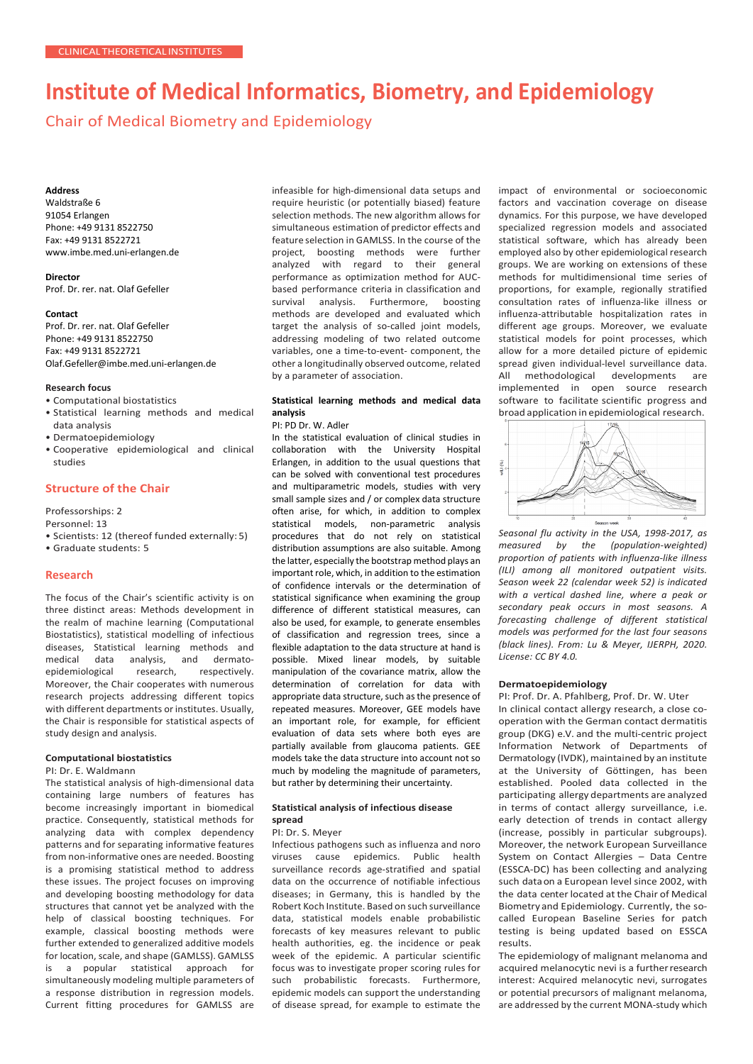# **Institute of Medical Informatics, Biometry, and Epidemiology**

Chair of Medical Biometry and Epidemiology

#### **Address**

Waldstraße 6 91054 Erlangen Phone: +49 9131 8522750 Fax: +49 9131 8522721 www.imbe.med.uni-erlangen.de

#### **Director**

Prof. Dr. rer. nat. Olaf Gefeller

#### **Contact**

Prof. Dr. rer. nat. Olaf Gefeller Phone: +49 9131 8522750 Fax: +49 9131 8522721 [Olaf.Gefeller@imbe.med.uni-erlangen.de](mailto:Olaf.Gefeller@imbe.med.uni-erlangen.de)

#### **Research focus**

- Computational biostatistics
- Statistical learning methods and medical data analysis
- Dermatoepidemiology
- Cooperative epidemiological and clinical studies

# **Structure of the Chair**

Professorships: 2

- Personnel: 13
- Scientists: 12 (thereof funded externally: 5)
- Graduate students: 5

## **Research**

The focus of the Chair's scientific activity is on three distinct areas: Methods development in the realm of machine learning (Computational Biostatistics), statistical modelling of infectious diseases, Statistical learning methods and medical data analysis, and dermatoepidemiological research, respectively. Moreover, the Chair cooperates with numerous research projects addressing different topics with different departments or institutes. Usually, the Chair is responsible for statistical aspects of study design and analysis.

#### **Computational biostatistics**

#### PI: Dr. E. Waldmann

The statistical analysis of high-dimensional data containing large numbers of features has become increasingly important in biomedical practice. Consequently, statistical methods for analyzing data with complex dependency patterns and for separating informative features from non-informative ones are needed. Boosting is a promising statistical method to address these issues. The project focuses on improving and developing boosting methodology for data structures that cannot yet be analyzed with the help of classical boosting techniques. For example, classical boosting methods were further extended to generalized additive models for location, scale, and shape (GAMLSS). GAMLSS is a popular statistical approach for simultaneously modeling multiple parameters of a response distribution in regression models. Current fitting procedures for GAMLSS are infeasible for high-dimensional data setups and require heuristic (or potentially biased) feature selection methods. The new algorithm allows for simultaneous estimation of predictor effects and feature selection in GAMLSS. In the course of the project, boosting methods were further analyzed with regard to their general performance as optimization method for AUCbased performance criteria in classification and survival analysis. Furthermore, boosting methods are developed and evaluated which target the analysis of so-called joint models, addressing modeling of two related outcome variables, one a time-to-event- component, the other a longitudinally observed outcome, related by a parameter of association.

## **Statistical learning methods and medical data analysis**

## PI: PD Dr. W. Adler

In the statistical evaluation of clinical studies in collaboration with the University Hospital Erlangen, in addition to the usual questions that can be solved with conventional test procedures and multiparametric models, studies with very small sample sizes and / or complex data structure often arise, for which, in addition to complex statistical models, non-parametric analysis procedures that do not rely on statistical distribution assumptions are also suitable. Among the latter, especially the bootstrap method plays an important role, which, in addition to the estimation of confidence intervals or the determination of statistical significance when examining the group difference of different statistical measures, can also be used, for example, to generate ensembles of classification and regression trees, since a flexible adaptation to the data structure at hand is possible. Mixed linear models, by suitable manipulation of the covariance matrix, allow the determination of correlation for data with appropriate data structure, such as the presence of repeated measures. Moreover, GEE models have an important role, for example, for efficient evaluation of data sets where both eyes are partially available from glaucoma patients. GEE models take the data structure into account not so much by modeling the magnitude of parameters, but rather by determining their uncertainty.

## **Statistical analysis of infectious disease spread**

#### PI: Dr. S. Meyer

Infectious pathogens such as influenza and noro viruses cause epidemics. Public health surveillance records age-stratified and spatial data on the occurrence of notifiable infectious diseases; in Germany, this is handled by the Robert Koch Institute. Based on such surveillance data, statistical models enable probabilistic forecasts of key measures relevant to public health authorities, eg. the incidence or peak week of the epidemic. A particular scientific focus was to investigate proper scoring rules for such probabilistic forecasts. Furthermore, epidemic models can support the understanding of disease spread, for example to estimate the

impact of environmental or socioeconomic factors and vaccination coverage on disease dynamics. For this purpose, we have developed specialized regression models and associated statistical software, which has already been employed also by other epidemiological research groups. We are working on extensions of these methods for multidimensional time series of proportions, for example, regionally stratified consultation rates of influenza-like illness or influenza-attributable hospitalization rates in different age groups. Moreover, we evaluate statistical models for point processes, which allow for a more detailed picture of epidemic spread given individual-level surveillance data. All methodological developments are implemented in open source research software to facilitate scientific progress and broad application in epidemiological research.



*Seasonal flu activity in the USA, 1998-2017, as measured by the (population-weighted) proportion of patients with influenza-like illness (ILI) among all monitored outpatient visits. Season week 22 (calendar week 52) is indicated with a vertical dashed line, where a peak or secondary peak occurs in most seasons. A forecasting challenge of different statistical models was performed for the last four seasons (black lines). From: Lu & Meyer, IJERPH, 2020. License: CC BY 4.0.*

## **Dermatoepidemiology**

PI: Prof. Dr. A. Pfahlberg, Prof. Dr. W. Uter In clinical contact allergy research, a close cooperation with the German contact dermatitis group (DKG) e.V. and the multi-centric project Information Network of Departments of Dermatology (IVDK), maintained by an institute at the University of Göttingen, has been established. Pooled data collected in the participating allergy departments are analyzed in terms of contact allergy surveillance, i.e. early detection of trends in contact allergy (increase, possibly in particular subgroups). Moreover, the network European Surveillance System on Contact Allergies – Data Centre (ESSCA-DC) has been collecting and analyzing such dataon a European level since 2002, with the data center located at the Chair of Medical Biometry and Epidemiology. Currently, the socalled European Baseline Series for patch testing is being updated based on ESSCA results.

The epidemiology of malignant melanoma and acquired melanocytic nevi is a furtherresearch interest: Acquired melanocytic nevi, surrogates or potential precursors of malignant melanoma, are addressed by the current MONA-study which